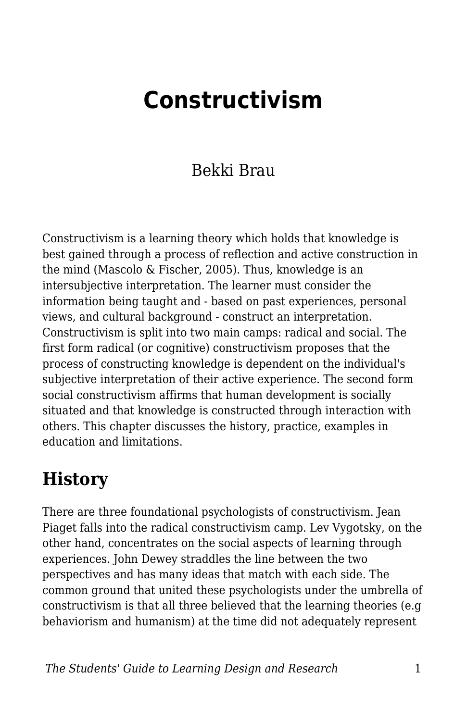# **Constructivism**

### Bekki Brau

Constructivism is a learning theory which holds that knowledge is best gained through a process of reflection and active construction in the mind (Mascolo & Fischer, 2005). Thus, knowledge is an intersubjective interpretation. The learner must consider the information being taught and - based on past experiences, personal views, and cultural background - construct an interpretation. Constructivism is split into two main camps: radical and social. The first form radical (or cognitive) constructivism proposes that the process of constructing knowledge is dependent on the individual's subjective interpretation of their active experience. The second form social constructivism affirms that human development is socially situated and that knowledge is constructed through interaction with others. This chapter discusses the history, practice, examples in education and limitations.

### **History**

There are three foundational psychologists of constructivism. Jean Piaget falls into the radical constructivism camp. Lev Vygotsky, on the other hand, concentrates on the social aspects of learning through experiences. John Dewey straddles the line between the two perspectives and has many ideas that match with each side. The common ground that united these psychologists under the umbrella of constructivism is that all three believed that the learning theories (e.g behaviorism and humanism) at the time did not adequately represent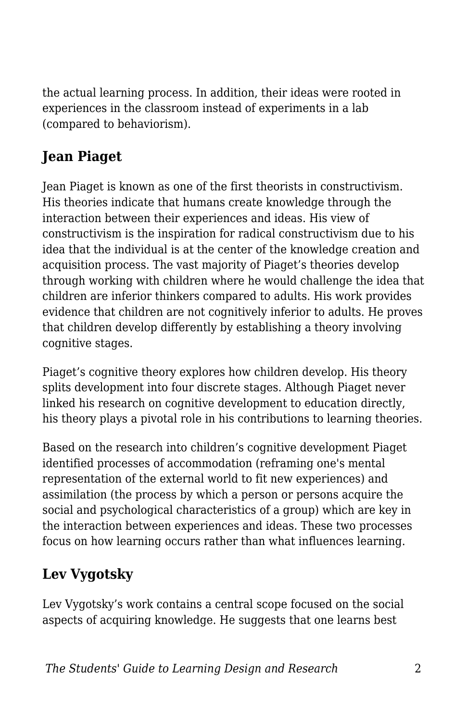the actual learning process. In addition, their ideas were rooted in experiences in the classroom instead of experiments in a lab (compared to behaviorism).

#### **Jean Piaget**

Jean Piaget is known as one of the first theorists in constructivism. His theories indicate that humans create knowledge through the interaction between their experiences and ideas. His view of constructivism is the inspiration for radical constructivism due to his idea that the individual is at the center of the knowledge creation and acquisition process. The vast majority of Piaget's theories develop through working with children where he would challenge the idea that children are inferior thinkers compared to adults. His work provides evidence that children are not cognitively inferior to adults. He proves that children develop differently by establishing a theory involving cognitive stages.

Piaget's cognitive theory explores how children develop. His theory splits development into four discrete stages. Although Piaget never linked his research on cognitive development to education directly, his theory plays a pivotal role in his contributions to learning theories.

Based on the research into children's cognitive development Piaget identified processes of accommodation (reframing one's mental representation of the external world to fit new experiences) and assimilation (the process by which a person or persons acquire the social and psychological characteristics of a group) which are key in the interaction between experiences and ideas. These two processes focus on how learning occurs rather than what influences learning.

#### **Lev Vygotsky**

Lev Vygotsky's work contains a central scope focused on the social aspects of acquiring knowledge. He suggests that one learns best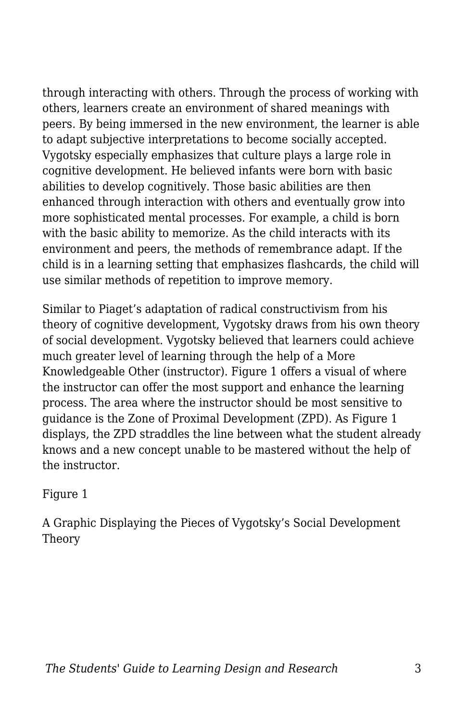through interacting with others. Through the process of working with others, learners create an environment of shared meanings with peers. By being immersed in the new environment, the learner is able to adapt subjective interpretations to become socially accepted. Vygotsky especially emphasizes that culture plays a large role in cognitive development. He believed infants were born with basic abilities to develop cognitively. Those basic abilities are then enhanced through interaction with others and eventually grow into more sophisticated mental processes. For example, a child is born with the basic ability to memorize. As the child interacts with its environment and peers, the methods of remembrance adapt. If the child is in a learning setting that emphasizes flashcards, the child will use similar methods of repetition to improve memory.

Similar to Piaget's adaptation of radical constructivism from his theory of cognitive development, Vygotsky draws from his own theory of social development. Vygotsky believed that learners could achieve much greater level of learning through the help of a More Knowledgeable Other (instructor). Figure 1 offers a visual of where the instructor can offer the most support and enhance the learning process. The area where the instructor should be most sensitive to guidance is the Zone of Proximal Development (ZPD). As Figure 1 displays, the ZPD straddles the line between what the student already knows and a new concept unable to be mastered without the help of the instructor.

Figure 1

A Graphic Displaying the Pieces of Vygotsky's Social Development Theory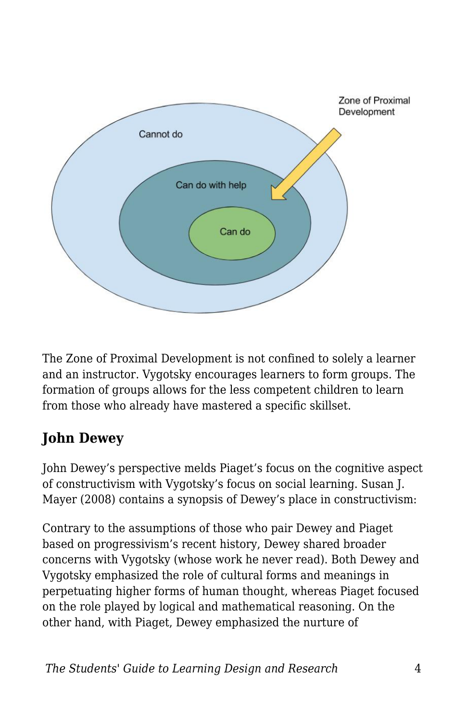

The Zone of Proximal Development is not confined to solely a learner and an instructor. Vygotsky encourages learners to form groups. The formation of groups allows for the less competent children to learn from those who already have mastered a specific skillset.

#### **John Dewey**

John Dewey's perspective melds Piaget's focus on the cognitive aspect of constructivism with Vygotsky's focus on social learning. Susan J. Mayer (2008) contains a synopsis of Dewey's place in constructivism:

Contrary to the assumptions of those who pair Dewey and Piaget based on progressivism's recent history, Dewey shared broader concerns with Vygotsky (whose work he never read). Both Dewey and Vygotsky emphasized the role of cultural forms and meanings in perpetuating higher forms of human thought, whereas Piaget focused on the role played by logical and mathematical reasoning. On the other hand, with Piaget, Dewey emphasized the nurture of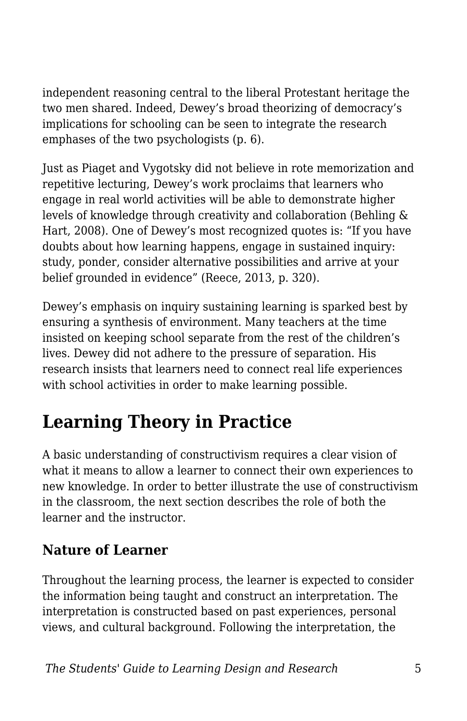independent reasoning central to the liberal Protestant heritage the two men shared. Indeed, Dewey's broad theorizing of democracy's implications for schooling can be seen to integrate the research emphases of the two psychologists (p. 6).

Just as Piaget and Vygotsky did not believe in rote memorization and repetitive lecturing, Dewey's work proclaims that learners who engage in real world activities will be able to demonstrate higher levels of knowledge through creativity and collaboration (Behling & Hart, 2008). One of Dewey's most recognized quotes is: "If you have doubts about how learning happens, engage in sustained inquiry: study, ponder, consider alternative possibilities and arrive at your belief grounded in evidence" (Reece, 2013, p. 320).

Dewey's emphasis on inquiry sustaining learning is sparked best by ensuring a synthesis of environment. Many teachers at the time insisted on keeping school separate from the rest of the children's lives. Dewey did not adhere to the pressure of separation. His research insists that learners need to connect real life experiences with school activities in order to make learning possible.

## **Learning Theory in Practice**

A basic understanding of constructivism requires a clear vision of what it means to allow a learner to connect their own experiences to new knowledge. In order to better illustrate the use of constructivism in the classroom, the next section describes the role of both the learner and the instructor.

#### **Nature of Learner**

Throughout the learning process, the learner is expected to consider the information being taught and construct an interpretation. The interpretation is constructed based on past experiences, personal views, and cultural background. Following the interpretation, the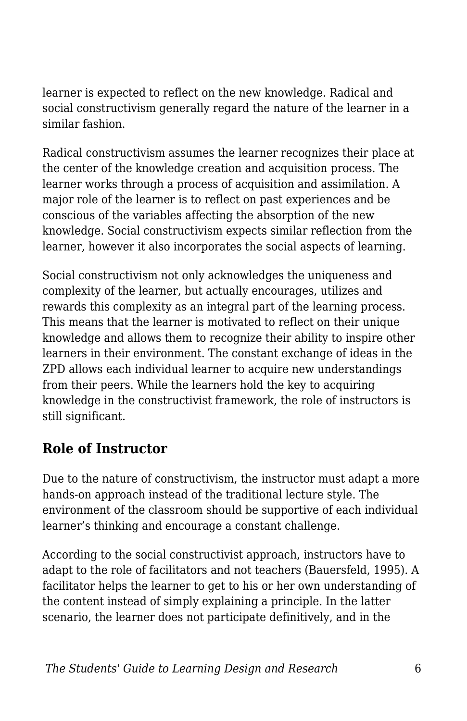learner is expected to reflect on the new knowledge. Radical and social constructivism generally regard the nature of the learner in a similar fashion.

Radical constructivism assumes the learner recognizes their place at the center of the knowledge creation and acquisition process. The learner works through a process of acquisition and assimilation. A major role of the learner is to reflect on past experiences and be conscious of the variables affecting the absorption of the new knowledge. Social constructivism expects similar reflection from the learner, however it also incorporates the social aspects of learning.

Social constructivism not only acknowledges the uniqueness and complexity of the learner, but actually encourages, utilizes and rewards this complexity as an integral part of the learning process. This means that the learner is motivated to reflect on their unique knowledge and allows them to recognize their ability to inspire other learners in their environment. The constant exchange of ideas in the ZPD allows each individual learner to acquire new understandings from their peers. While the learners hold the key to acquiring knowledge in the constructivist framework, the role of instructors is still significant.

#### **Role of Instructor**

Due to the nature of constructivism, the instructor must adapt a more hands-on approach instead of the traditional lecture style. The environment of the classroom should be supportive of each individual learner's thinking and encourage a constant challenge.

According to the social constructivist approach, instructors have to adapt to the role of facilitators and not teachers (Bauersfeld, 1995). A facilitator helps the learner to get to his or her own understanding of the content instead of simply explaining a principle. In the latter scenario, the learner does not participate definitively, and in the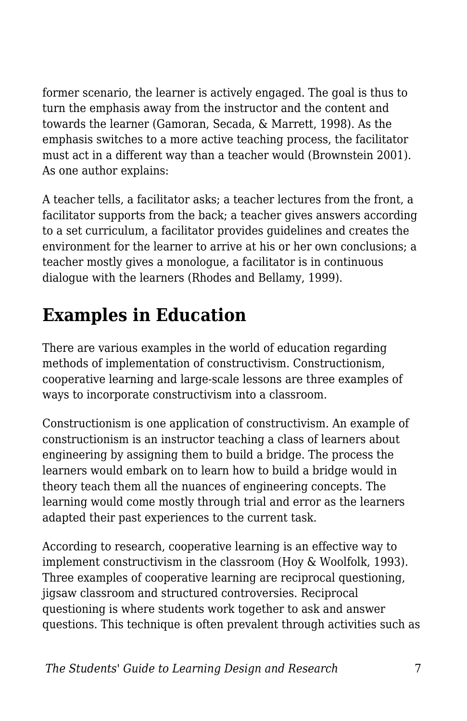former scenario, the learner is actively engaged. The goal is thus to turn the emphasis away from the instructor and the content and towards the learner (Gamoran, Secada, & Marrett, 1998). As the emphasis switches to a more active teaching process, the facilitator must act in a different way than a teacher would (Brownstein 2001). As one author explains:

A teacher tells, a facilitator asks; a teacher lectures from the front, a facilitator supports from the back; a teacher gives answers according to a set curriculum, a facilitator provides guidelines and creates the environment for the learner to arrive at his or her own conclusions; a teacher mostly gives a monologue, a facilitator is in continuous dialogue with the learners (Rhodes and Bellamy, 1999).

### **Examples in Education**

There are various examples in the world of education regarding methods of implementation of constructivism. Constructionism, cooperative learning and large-scale lessons are three examples of ways to incorporate constructivism into a classroom.

Constructionism is one application of constructivism. An example of constructionism is an instructor teaching a class of learners about engineering by assigning them to build a bridge. The process the learners would embark on to learn how to build a bridge would in theory teach them all the nuances of engineering concepts. The learning would come mostly through trial and error as the learners adapted their past experiences to the current task.

According to research, cooperative learning is an effective way to implement constructivism in the classroom (Hoy & Woolfolk, 1993). Three examples of cooperative learning are reciprocal questioning, jigsaw classroom and structured controversies. Reciprocal questioning is where students work together to ask and answer questions. This technique is often prevalent through activities such as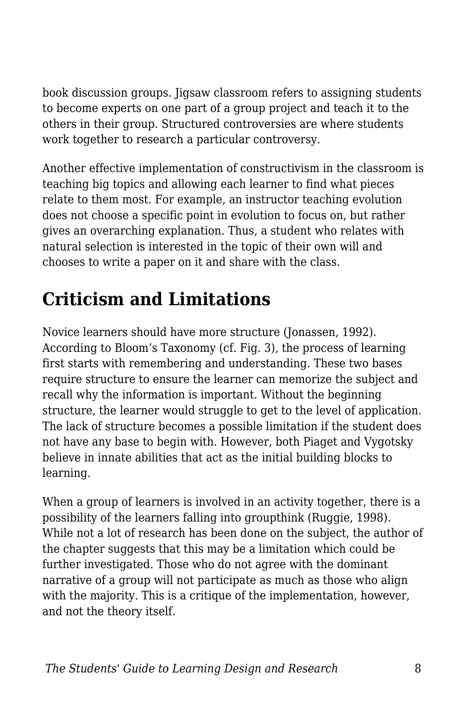book discussion groups. Jigsaw classroom refers to assigning students to become experts on one part of a group project and teach it to the others in their group. Structured controversies are where students work together to research a particular controversy.

Another effective implementation of constructivism in the classroom is teaching big topics and allowing each learner to find what pieces relate to them most. For example, an instructor teaching evolution does not choose a specific point in evolution to focus on, but rather gives an overarching explanation. Thus, a student who relates with natural selection is interested in the topic of their own will and chooses to write a paper on it and share with the class.

# **Criticism and Limitations**

Novice learners should have more structure (Jonassen, 1992). According to Bloom's Taxonomy (cf. Fig. 3), the process of learning first starts with remembering and understanding. These two bases require structure to ensure the learner can memorize the subject and recall why the information is important. Without the beginning structure, the learner would struggle to get to the level of application. The lack of structure becomes a possible limitation if the student does not have any base to begin with. However, both Piaget and Vygotsky believe in innate abilities that act as the initial building blocks to learning.

When a group of learners is involved in an activity together, there is a possibility of the learners falling into groupthink (Ruggie, 1998). While not a lot of research has been done on the subject, the author of the chapter suggests that this may be a limitation which could be further investigated. Those who do not agree with the dominant narrative of a group will not participate as much as those who align with the majority. This is a critique of the implementation, however, and not the theory itself.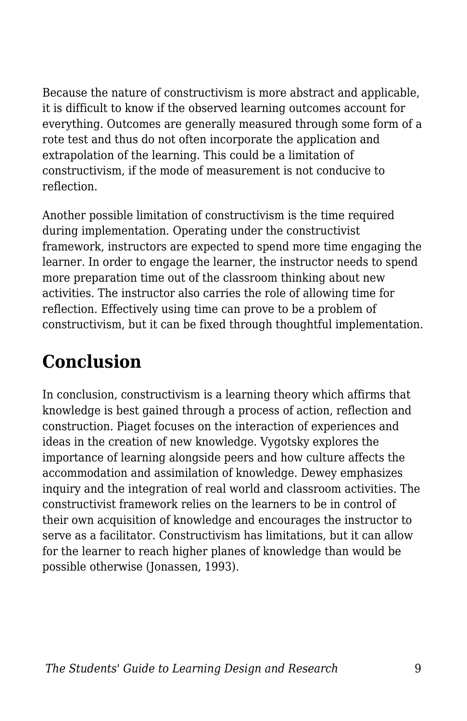Because the nature of constructivism is more abstract and applicable, it is difficult to know if the observed learning outcomes account for everything. Outcomes are generally measured through some form of a rote test and thus do not often incorporate the application and extrapolation of the learning. This could be a limitation of constructivism, if the mode of measurement is not conducive to reflection.

Another possible limitation of constructivism is the time required during implementation. Operating under the constructivist framework, instructors are expected to spend more time engaging the learner. In order to engage the learner, the instructor needs to spend more preparation time out of the classroom thinking about new activities. The instructor also carries the role of allowing time for reflection. Effectively using time can prove to be a problem of constructivism, but it can be fixed through thoughtful implementation.

### **Conclusion**

In conclusion, constructivism is a learning theory which affirms that knowledge is best gained through a process of action, reflection and construction. Piaget focuses on the interaction of experiences and ideas in the creation of new knowledge. Vygotsky explores the importance of learning alongside peers and how culture affects the accommodation and assimilation of knowledge. Dewey emphasizes inquiry and the integration of real world and classroom activities. The constructivist framework relies on the learners to be in control of their own acquisition of knowledge and encourages the instructor to serve as a facilitator. Constructivism has limitations, but it can allow for the learner to reach higher planes of knowledge than would be possible otherwise (Jonassen, 1993).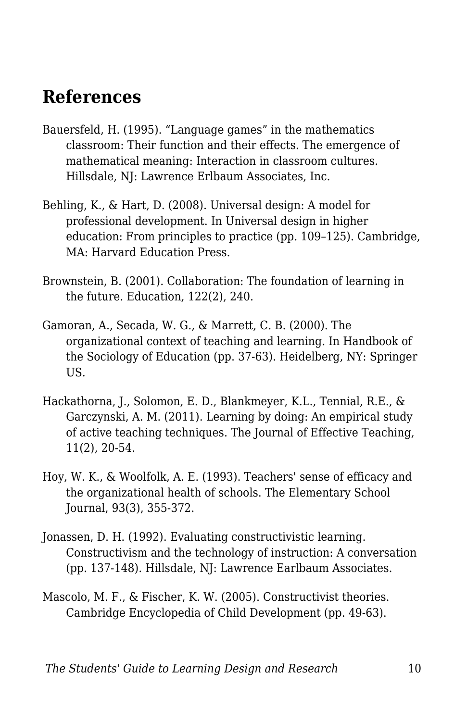### **References**

- Bauersfeld, H. (1995). "Language games" in the mathematics classroom: Their function and their effects. The emergence of mathematical meaning: Interaction in classroom cultures. Hillsdale, NJ: Lawrence Erlbaum Associates, Inc.
- Behling, K., & Hart, D. (2008). Universal design: A model for professional development. In Universal design in higher education: From principles to practice (pp. 109–125). Cambridge, MA: Harvard Education Press.
- Brownstein, B. (2001). Collaboration: The foundation of learning in the future. Education, 122(2), 240.
- Gamoran, A., Secada, W. G., & Marrett, C. B. (2000). The organizational context of teaching and learning. In Handbook of the Sociology of Education (pp. 37-63). Heidelberg, NY: Springer US.
- Hackathorna, J., Solomon, E. D., Blankmeyer, K.L., Tennial, R.E., & Garczynski, A. M. (2011). Learning by doing: An empirical study of active teaching techniques. The Journal of Effective Teaching, 11(2), 20-54.
- Hoy, W. K., & Woolfolk, A. E. (1993). Teachers' sense of efficacy and the organizational health of schools. The Elementary School Journal, 93(3), 355-372.
- Jonassen, D. H. (1992). Evaluating constructivistic learning. Constructivism and the technology of instruction: A conversation (pp. 137-148). Hillsdale, NJ: Lawrence Earlbaum Associates.
- Mascolo, M. F., & Fischer, K. W. (2005). Constructivist theories. Cambridge Encyclopedia of Child Development (pp. 49-63).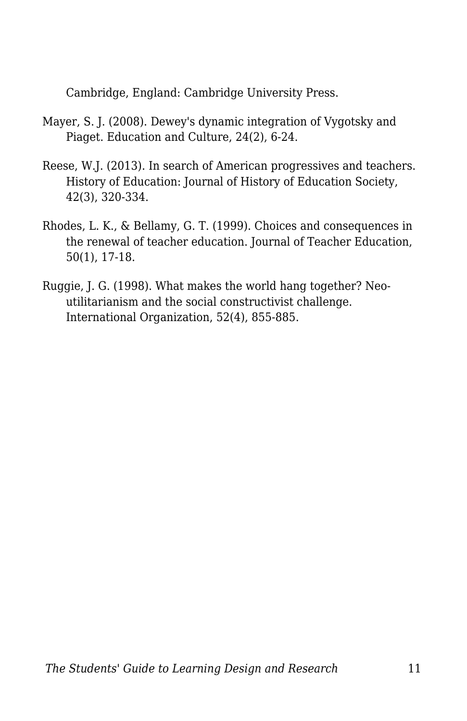Cambridge, England: Cambridge University Press.

- Mayer, S. J. (2008). Dewey's dynamic integration of Vygotsky and Piaget. Education and Culture, 24(2), 6-24.
- Reese, W.J. (2013). In search of American progressives and teachers. History of Education: Journal of History of Education Society, 42(3), 320-334.
- Rhodes, L. K., & Bellamy, G. T. (1999). Choices and consequences in the renewal of teacher education. Journal of Teacher Education, 50(1), 17-18.
- Ruggie, J. G. (1998). What makes the world hang together? Neoutilitarianism and the social constructivist challenge. International Organization, 52(4), 855-885.